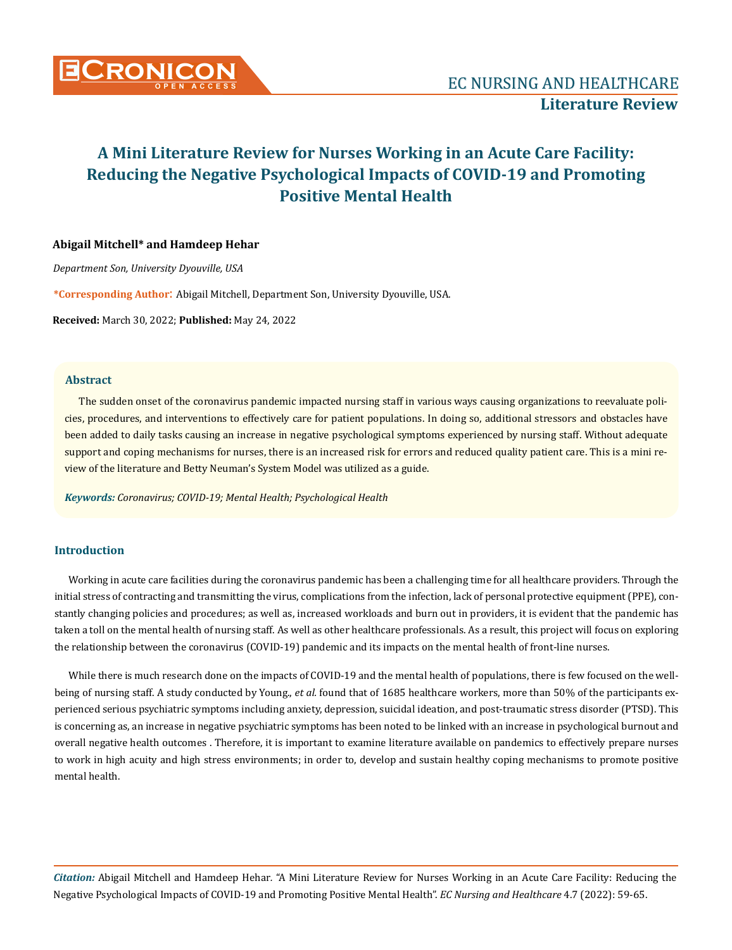

## **Abigail Mitchell\* and Hamdeep Hehar**

*Department Son, University Dyouville, USA*

**\*Corresponding Author**: Abigail Mitchell, Department Son, University Dyouville, USA.

**Received:** March 30, 2022; **Published:** May 24, 2022

## **Abstract**

The sudden onset of the coronavirus pandemic impacted nursing staff in various ways causing organizations to reevaluate policies, procedures, and interventions to effectively care for patient populations. In doing so, additional stressors and obstacles have been added to daily tasks causing an increase in negative psychological symptoms experienced by nursing staff. Without adequate support and coping mechanisms for nurses, there is an increased risk for errors and reduced quality patient care. This is a mini review of the literature and Betty Neuman's System Model was utilized as a guide.

*Keywords: Coronavirus; COVID-19; Mental Health; Psychological Health*

## **Introduction**

Working in acute care facilities during the coronavirus pandemic has been a challenging time for all healthcare providers. Through the initial stress of contracting and transmitting the virus, complications from the infection, lack of personal protective equipment (PPE), constantly changing policies and procedures; as well as, increased workloads and burn out in providers, it is evident that the pandemic has taken a toll on the mental health of nursing staff. As well as other healthcare professionals. As a result, this project will focus on exploring the relationship between the coronavirus (COVID-19) pandemic and its impacts on the mental health of front-line nurses.

While there is much research done on the impacts of COVID-19 and the mental health of populations, there is few focused on the wellbeing of nursing staff. A study conducted by Young., *et al.* found that of 1685 healthcare workers, more than 50% of the participants experienced serious psychiatric symptoms including anxiety, depression, suicidal ideation, and post-traumatic stress disorder (PTSD). This is concerning as, an increase in negative psychiatric symptoms has been noted to be linked with an increase in psychological burnout and overall negative health outcomes . Therefore, it is important to examine literature available on pandemics to effectively prepare nurses to work in high acuity and high stress environments; in order to, develop and sustain healthy coping mechanisms to promote positive mental health.

*Citation:* Abigail Mitchell and Hamdeep Hehar*.* "A Mini Literature Review for Nurses Working in an Acute Care Facility: Reducing the Negative Psychological Impacts of COVID-19 and Promoting Positive Mental Health". *EC Nursing and Healthcare* 4.7 (2022): 59-65.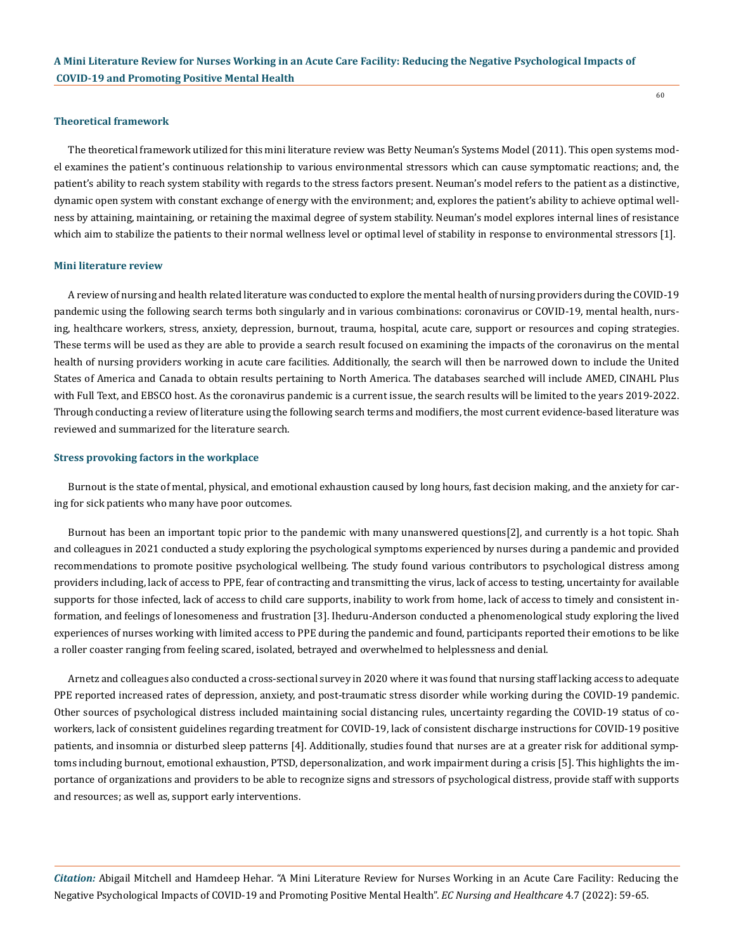#### **Theoretical framework**

The theoretical framework utilized for this mini literature review was Betty Neuman's Systems Model (2011). This open systems model examines the patient's continuous relationship to various environmental stressors which can cause symptomatic reactions; and, the patient's ability to reach system stability with regards to the stress factors present. Neuman's model refers to the patient as a distinctive, dynamic open system with constant exchange of energy with the environment; and, explores the patient's ability to achieve optimal wellness by attaining, maintaining, or retaining the maximal degree of system stability. Neuman's model explores internal lines of resistance which aim to stabilize the patients to their normal wellness level or optimal level of stability in response to environmental stressors [1].

#### **Mini literature review**

A review of nursing and health related literature was conducted to explore the mental health of nursing providers during the COVID-19 pandemic using the following search terms both singularly and in various combinations: coronavirus or COVID-19, mental health, nursing, healthcare workers, stress, anxiety, depression, burnout, trauma, hospital, acute care, support or resources and coping strategies. These terms will be used as they are able to provide a search result focused on examining the impacts of the coronavirus on the mental health of nursing providers working in acute care facilities. Additionally, the search will then be narrowed down to include the United States of America and Canada to obtain results pertaining to North America. The databases searched will include AMED, CINAHL Plus with Full Text, and EBSCO host. As the coronavirus pandemic is a current issue, the search results will be limited to the years 2019-2022. Through conducting a review of literature using the following search terms and modifiers, the most current evidence-based literature was reviewed and summarized for the literature search.

#### **Stress provoking factors in the workplace**

Burnout is the state of mental, physical, and emotional exhaustion caused by long hours, fast decision making, and the anxiety for caring for sick patients who many have poor outcomes.

Burnout has been an important topic prior to the pandemic with many unanswered questions[2], and currently is a hot topic. Shah and colleagues in 2021 conducted a study exploring the psychological symptoms experienced by nurses during a pandemic and provided recommendations to promote positive psychological wellbeing. The study found various contributors to psychological distress among providers including, lack of access to PPE, fear of contracting and transmitting the virus, lack of access to testing, uncertainty for available supports for those infected, lack of access to child care supports, inability to work from home, lack of access to timely and consistent information, and feelings of lonesomeness and frustration [3]. Iheduru-Anderson conducted a phenomenological study exploring the lived experiences of nurses working with limited access to PPE during the pandemic and found, participants reported their emotions to be like a roller coaster ranging from feeling scared, isolated, betrayed and overwhelmed to helplessness and denial.

Arnetz and colleagues also conducted a cross-sectional survey in 2020 where it was found that nursing staff lacking access to adequate PPE reported increased rates of depression, anxiety, and post-traumatic stress disorder while working during the COVID-19 pandemic. Other sources of psychological distress included maintaining social distancing rules, uncertainty regarding the COVID-19 status of coworkers, lack of consistent guidelines regarding treatment for COVID-19, lack of consistent discharge instructions for COVID-19 positive patients, and insomnia or disturbed sleep patterns [4]. Additionally, studies found that nurses are at a greater risk for additional symptoms including burnout, emotional exhaustion, PTSD, depersonalization, and work impairment during a crisis [5]. This highlights the importance of organizations and providers to be able to recognize signs and stressors of psychological distress, provide staff with supports and resources; as well as, support early interventions.

*Citation:* Abigail Mitchell and Hamdeep Hehar*.* "A Mini Literature Review for Nurses Working in an Acute Care Facility: Reducing the Negative Psychological Impacts of COVID-19 and Promoting Positive Mental Health". *EC Nursing and Healthcare* 4.7 (2022): 59-65.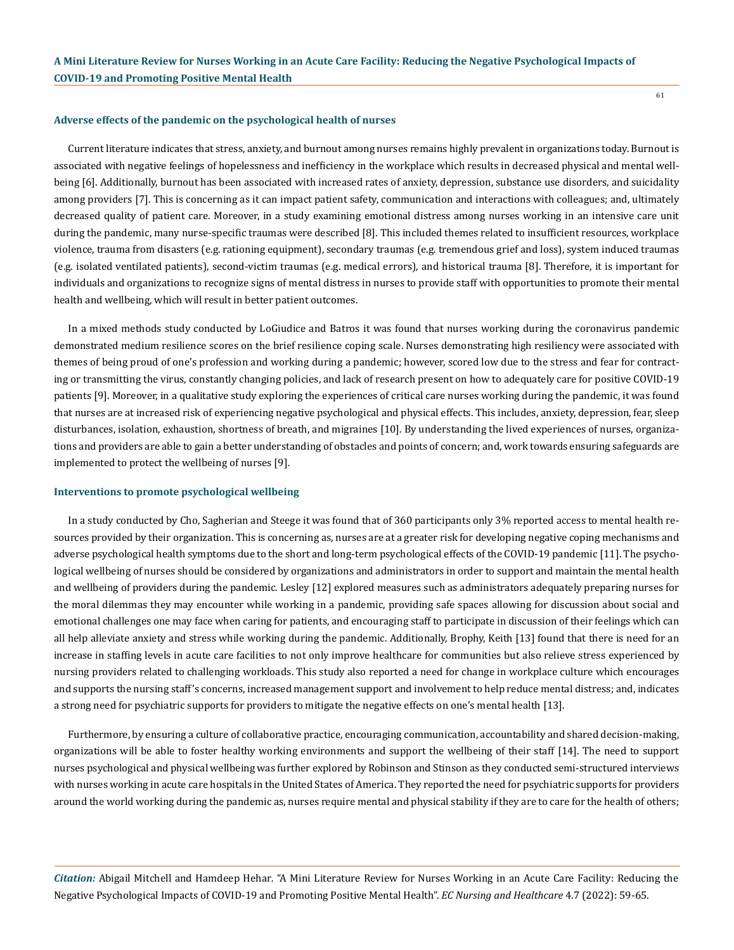#### **Adverse effects of the pandemic on the psychological health of nurses**

Current literature indicates that stress, anxiety, and burnout among nurses remains highly prevalent in organizations today. Burnout is associated with negative feelings of hopelessness and inefficiency in the workplace which results in decreased physical and mental wellbeing [6]. Additionally, burnout has been associated with increased rates of anxiety, depression, substance use disorders, and suicidality among providers [7]. This is concerning as it can impact patient safety, communication and interactions with colleagues; and, ultimately decreased quality of patient care. Moreover, in a study examining emotional distress among nurses working in an intensive care unit during the pandemic, many nurse-specific traumas were described [8]. This included themes related to insufficient resources, workplace violence, trauma from disasters (e.g. rationing equipment), secondary traumas (e.g. tremendous grief and loss), system induced traumas (e.g. isolated ventilated patients), second-victim traumas (e.g. medical errors), and historical trauma [8]. Therefore, it is important for individuals and organizations to recognize signs of mental distress in nurses to provide staff with opportunities to promote their mental health and wellbeing, which will result in better patient outcomes.

In a mixed methods study conducted by LoGiudice and Batros it was found that nurses working during the coronavirus pandemic demonstrated medium resilience scores on the brief resilience coping scale. Nurses demonstrating high resiliency were associated with themes of being proud of one's profession and working during a pandemic; however, scored low due to the stress and fear for contracting or transmitting the virus, constantly changing policies, and lack of research present on how to adequately care for positive COVID-19 patients [9]. Moreover, in a qualitative study exploring the experiences of critical care nurses working during the pandemic, it was found that nurses are at increased risk of experiencing negative psychological and physical effects. This includes, anxiety, depression, fear, sleep disturbances, isolation, exhaustion, shortness of breath, and migraines [10]. By understanding the lived experiences of nurses, organizations and providers are able to gain a better understanding of obstacles and points of concern; and, work towards ensuring safeguards are implemented to protect the wellbeing of nurses [9].

#### **Interventions to promote psychological wellbeing**

In a study conducted by Cho, Sagherian and Steege it was found that of 360 participants only 3% reported access to mental health resources provided by their organization. This is concerning as, nurses are at a greater risk for developing negative coping mechanisms and adverse psychological health symptoms due to the short and long-term psychological effects of the COVID-19 pandemic [11]. The psychological wellbeing of nurses should be considered by organizations and administrators in order to support and maintain the mental health and wellbeing of providers during the pandemic. Lesley [12] explored measures such as administrators adequately preparing nurses for the moral dilemmas they may encounter while working in a pandemic, providing safe spaces allowing for discussion about social and emotional challenges one may face when caring for patients, and encouraging staff to participate in discussion of their feelings which can all help alleviate anxiety and stress while working during the pandemic. Additionally, Brophy, Keith [13] found that there is need for an increase in staffing levels in acute care facilities to not only improve healthcare for communities but also relieve stress experienced by nursing providers related to challenging workloads. This study also reported a need for change in workplace culture which encourages and supports the nursing staff's concerns, increased management support and involvement to help reduce mental distress; and, indicates a strong need for psychiatric supports for providers to mitigate the negative effects on one's mental health [13].

Furthermore, by ensuring a culture of collaborative practice, encouraging communication, accountability and shared decision-making, organizations will be able to foster healthy working environments and support the wellbeing of their staff [14]. The need to support nurses psychological and physical wellbeing was further explored by Robinson and Stinson as they conducted semi-structured interviews with nurses working in acute care hospitals in the United States of America. They reported the need for psychiatric supports for providers around the world working during the pandemic as, nurses require mental and physical stability if they are to care for the health of others;

*Citation:* Abigail Mitchell and Hamdeep Hehar*.* "A Mini Literature Review for Nurses Working in an Acute Care Facility: Reducing the Negative Psychological Impacts of COVID-19 and Promoting Positive Mental Health". *EC Nursing and Healthcare* 4.7 (2022): 59-65.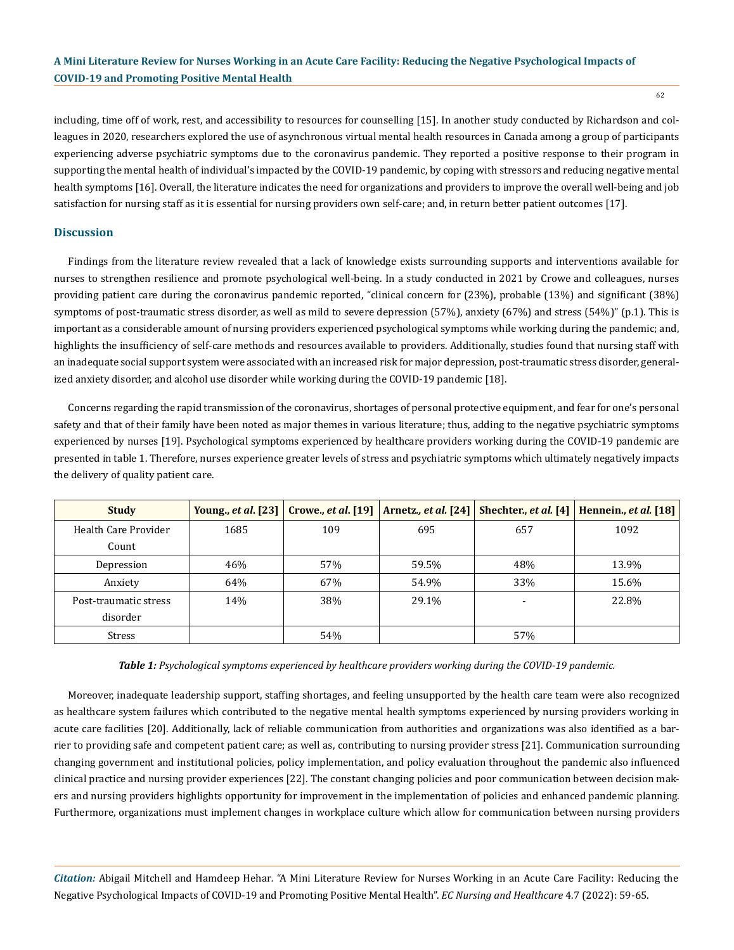including, time off of work, rest, and accessibility to resources for counselling [15]. In another study conducted by Richardson and colleagues in 2020, researchers explored the use of asynchronous virtual mental health resources in Canada among a group of participants experiencing adverse psychiatric symptoms due to the coronavirus pandemic. They reported a positive response to their program in supporting the mental health of individual's impacted by the COVID-19 pandemic, by coping with stressors and reducing negative mental health symptoms [16]. Overall, the literature indicates the need for organizations and providers to improve the overall well-being and job satisfaction for nursing staff as it is essential for nursing providers own self-care; and, in return better patient outcomes [17].

## **Discussion**

Findings from the literature review revealed that a lack of knowledge exists surrounding supports and interventions available for nurses to strengthen resilience and promote psychological well-being. In a study conducted in 2021 by Crowe and colleagues, nurses providing patient care during the coronavirus pandemic reported, "clinical concern for (23%), probable (13%) and significant (38%) symptoms of post-traumatic stress disorder, as well as mild to severe depression (57%), anxiety (67%) and stress (54%)" (p.1). This is important as a considerable amount of nursing providers experienced psychological symptoms while working during the pandemic; and, highlights the insufficiency of self-care methods and resources available to providers. Additionally, studies found that nursing staff with an inadequate social support system were associated with an increased risk for major depression, post-traumatic stress disorder, generalized anxiety disorder, and alcohol use disorder while working during the COVID-19 pandemic [18].

Concerns regarding the rapid transmission of the coronavirus, shortages of personal protective equipment, and fear for one's personal safety and that of their family have been noted as major themes in various literature; thus, adding to the negative psychiatric symptoms experienced by nurses [19]. Psychological symptoms experienced by healthcare providers working during the COVID-19 pandemic are presented in table 1. Therefore, nurses experience greater levels of stress and psychiatric symptoms which ultimately negatively impacts the delivery of quality patient care.

| <b>Study</b>          | Young., <i>et al.</i> [23] | <b>Crowe., et al.</b> [19] | Arnetz, et al. [24] | Shechter., et al. [4]    | Hennein., et al. [18] |
|-----------------------|----------------------------|----------------------------|---------------------|--------------------------|-----------------------|
| Health Care Provider  | 1685                       | 109                        | 695                 | 657                      | 1092                  |
| Count                 |                            |                            |                     |                          |                       |
| Depression            | 46%                        | 57%                        | 59.5%               | 48%                      | 13.9%                 |
| Anxiety               | 64%                        | 67%                        | 54.9%               | 33%                      | 15.6%                 |
| Post-traumatic stress | 14%                        | 38%                        | 29.1%               | $\overline{\phantom{0}}$ | 22.8%                 |
| disorder              |                            |                            |                     |                          |                       |
| Stress                |                            | 54%                        |                     | 57%                      |                       |

*Table 1: Psychological symptoms experienced by healthcare providers working during the COVID-19 pandemic.* 

Moreover, inadequate leadership support, staffing shortages, and feeling unsupported by the health care team were also recognized as healthcare system failures which contributed to the negative mental health symptoms experienced by nursing providers working in acute care facilities [20]. Additionally, lack of reliable communication from authorities and organizations was also identified as a barrier to providing safe and competent patient care; as well as, contributing to nursing provider stress [21]. Communication surrounding changing government and institutional policies, policy implementation, and policy evaluation throughout the pandemic also influenced clinical practice and nursing provider experiences [22]. The constant changing policies and poor communication between decision makers and nursing providers highlights opportunity for improvement in the implementation of policies and enhanced pandemic planning. Furthermore, organizations must implement changes in workplace culture which allow for communication between nursing providers

*Citation:* Abigail Mitchell and Hamdeep Hehar*.* "A Mini Literature Review for Nurses Working in an Acute Care Facility: Reducing the Negative Psychological Impacts of COVID-19 and Promoting Positive Mental Health". *EC Nursing and Healthcare* 4.7 (2022): 59-65.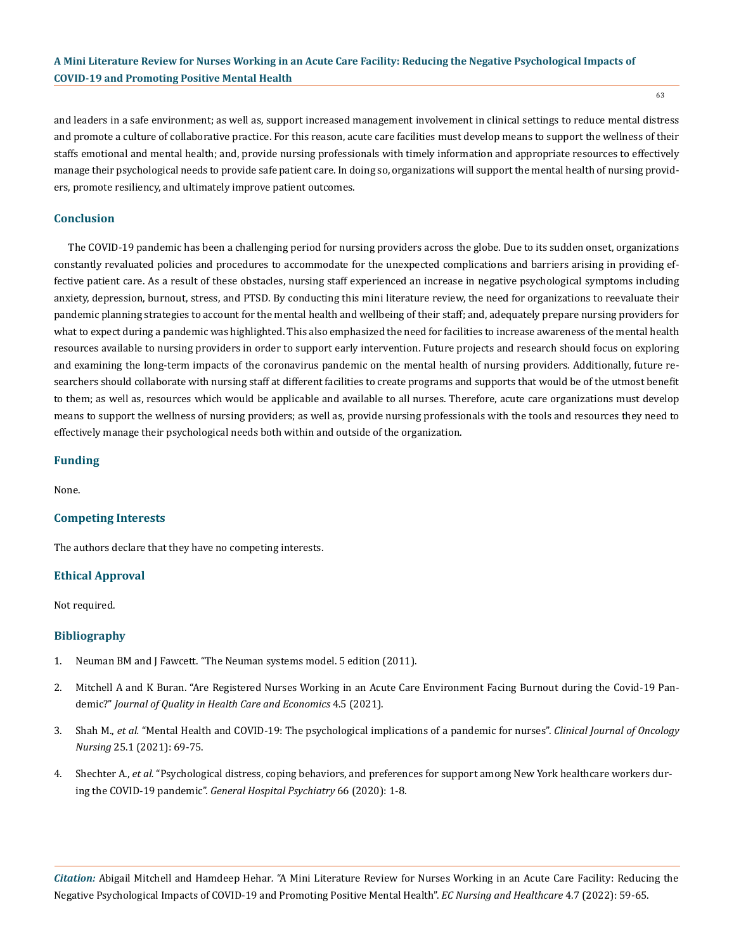and leaders in a safe environment; as well as, support increased management involvement in clinical settings to reduce mental distress and promote a culture of collaborative practice. For this reason, acute care facilities must develop means to support the wellness of their staffs emotional and mental health; and, provide nursing professionals with timely information and appropriate resources to effectively manage their psychological needs to provide safe patient care. In doing so, organizations will support the mental health of nursing providers, promote resiliency, and ultimately improve patient outcomes.

# **Conclusion**

The COVID-19 pandemic has been a challenging period for nursing providers across the globe. Due to its sudden onset, organizations constantly revaluated policies and procedures to accommodate for the unexpected complications and barriers arising in providing effective patient care. As a result of these obstacles, nursing staff experienced an increase in negative psychological symptoms including anxiety, depression, burnout, stress, and PTSD. By conducting this mini literature review, the need for organizations to reevaluate their pandemic planning strategies to account for the mental health and wellbeing of their staff; and, adequately prepare nursing providers for what to expect during a pandemic was highlighted. This also emphasized the need for facilities to increase awareness of the mental health resources available to nursing providers in order to support early intervention. Future projects and research should focus on exploring and examining the long-term impacts of the coronavirus pandemic on the mental health of nursing providers. Additionally, future researchers should collaborate with nursing staff at different facilities to create programs and supports that would be of the utmost benefit to them; as well as, resources which would be applicable and available to all nurses. Therefore, acute care organizations must develop means to support the wellness of nursing providers; as well as, provide nursing professionals with the tools and resources they need to effectively manage their psychological needs both within and outside of the organization.

## **Funding**

None.

## **Competing Interests**

The authors declare that they have no competing interests.

## **Ethical Approval**

Not required.

## **Bibliography**

- 1. [Neuman BM and J Fawcett. "The Neuman systems model. 5 edition \(2011\).](https://journals.sagepub.com/doi/abs/10.1177/0894318412457067)
- 2. [Mitchell A and K Buran. "Are Registered Nurses Working in an Acute Care Environment Facing Burnout during the Covid-19 Pan](https://medwinpublishers.com/JQHE/are-registered-nurses-working-in-an-acute-care-environment-facing-burnout-during-the-covid-19-pandemic.pdf)demic?" *[Journal of Quality in Health Care and Economics](https://medwinpublishers.com/JQHE/are-registered-nurses-working-in-an-acute-care-environment-facing-burnout-during-the-covid-19-pandemic.pdf)* 4.5 (2021).
- 3. Shah M., *et al.* ["Mental Health and COVID-19: The psychological implications of a pandemic for nurses".](https://cjon.ons.org/cjon/25/1/mental-health-and-covid-19-psychological-implications-pandemic-nurses) *Clinical Journal of Oncology Nursing* [25.1 \(2021\): 69-75.](https://cjon.ons.org/cjon/25/1/mental-health-and-covid-19-psychological-implications-pandemic-nurses)
- 4. Shechter A., *et al.* ["Psychological distress, coping behaviors, and preferences for support among New York healthcare workers dur](https://pubmed.ncbi.nlm.nih.gov/32590254/)ing the COVID-19 pandemic". *[General Hospital Psychiatry](https://pubmed.ncbi.nlm.nih.gov/32590254/)* 66 (2020): 1-8.

*Citation:* Abigail Mitchell and Hamdeep Hehar*.* "A Mini Literature Review for Nurses Working in an Acute Care Facility: Reducing the Negative Psychological Impacts of COVID-19 and Promoting Positive Mental Health". *EC Nursing and Healthcare* 4.7 (2022): 59-65.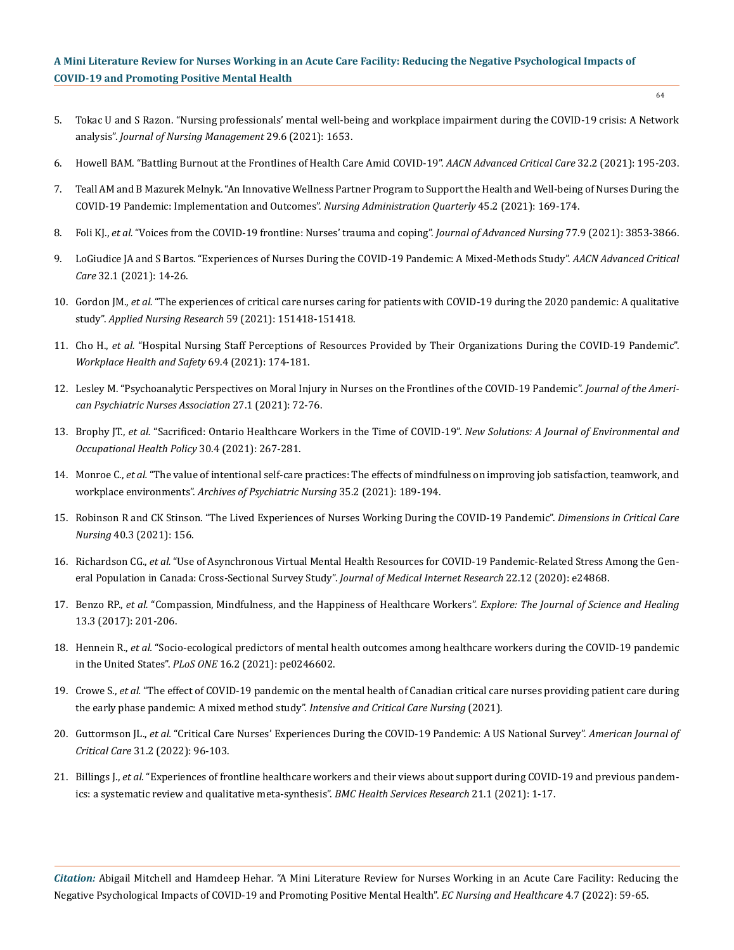- 5. [Tokac U and S Razon. "Nursing professionals' mental well-being and workplace impairment during the COVID-19 crisis: A Network](https://www.medrxiv.org/content/10.1101/2020.11.24.20237750v1.full.pdf)  analysis". *[Journal of Nursing Management](https://www.medrxiv.org/content/10.1101/2020.11.24.20237750v1.full.pdf)* 29.6 (2021): 1653.
- 6. [Howell BAM. "Battling Burnout at the Frontlines of Health Care Amid COVID-19".](https://pubmed.ncbi.nlm.nih.gov/33882576/) *AACN Advanced Critical Care* 32.2 (2021): 195-203.
- 7. [Teall AM and B Mazurek Melnyk. "An Innovative Wellness Partner Program to Support the Health and Well-being of Nurses During the](https://pubmed.ncbi.nlm.nih.gov/33570883/)  [COVID-19 Pandemic: Implementation and Outcomes".](https://pubmed.ncbi.nlm.nih.gov/33570883/) *Nursing Administration Quarterly* 45.2 (2021): 169-174.
- 8. Foli KJ., *et al.* ["Voices from the COVID-19 frontline: Nurses' trauma and coping".](https://onlinelibrary.wiley.com/doi/abs/10.1111/jan.14988) *Journal of Advanced Nursing* 77.9 (2021): 3853-3866.
- 9. [LoGiudice JA and S Bartos. "Experiences of Nurses During the COVID-19 Pandemic: A Mixed-Methods Study".](https://pubmed.ncbi.nlm.nih.gov/33450763/) *AACN Advanced Critical Care* [32.1 \(2021\): 14-26.](https://pubmed.ncbi.nlm.nih.gov/33450763/)
- 10. Gordon JM., *et al.* ["The experiences of critical care nurses caring for patients with COVID-19 during the 2020 pandemic: A qualitative](https://pubmed.ncbi.nlm.nih.gov/33947512/)  study". *Applied Nursing Research* [59 \(2021\): 151418-151418.](https://pubmed.ncbi.nlm.nih.gov/33947512/)
- 11. Cho H., *et al.* ["Hospital Nursing Staff Perceptions of Resources Provided by Their Organizations During the COVID-19 Pandemic".](https://pubmed.ncbi.nlm.nih.gov/33514301/)  *[Workplace Health and Safety](https://pubmed.ncbi.nlm.nih.gov/33514301/)* 69.4 (2021): 174-181.
- 12. [Lesley M. "Psychoanalytic Perspectives on Moral Injury in Nurses on the Frontlines of the COVID-19 Pandemic".](https://pubmed.ncbi.nlm.nih.gov/32951499/) *Journal of the Ameri[can Psychiatric Nurses Association](https://pubmed.ncbi.nlm.nih.gov/32951499/)* 27.1 (2021): 72-76.
- 13. Brophy JT., *et al.* ["Sacrificed: Ontario Healthcare Workers in the Time of COVID-19".](https://journals.sagepub.com/doi/full/10.1177/1048291120974358) *New Solutions: A Journal of Environmental and [Occupational Health Policy](https://journals.sagepub.com/doi/full/10.1177/1048291120974358)* 30.4 (2021): 267-281.
- 14. Monroe C., *et al.* ["The value of intentional self-care practices: The effects of mindfulness on improving job satisfaction, teamwork, and](https://www.sciencedirect.com/science/article/pii/S0883941720305598)  workplace environments". *[Archives of Psychiatric Nursing](https://www.sciencedirect.com/science/article/pii/S0883941720305598)* 35.2 (2021): 189-194.
- 15. [Robinson R and CK Stinson. "The Lived Experiences of Nurses Working During the COVID-19 Pandemic".](https://www.ncbi.nlm.nih.gov/pmc/articles/PMC8030877/) *Dimensions in Critical Care Nursing* [40.3 \(2021\): 156.](https://www.ncbi.nlm.nih.gov/pmc/articles/PMC8030877/)
- 16. Richardson CG., *et al.* ["Use of Asynchronous Virtual Mental Health Resources for COVID-19 Pandemic-Related Stress Among the Gen](https://pubmed.ncbi.nlm.nih.gov/33315583/)[eral Population in Canada: Cross-Sectional Survey Study".](https://pubmed.ncbi.nlm.nih.gov/33315583/) *Journal of Medical Internet Research* 22.12 (2020): e24868.
- 17. Benzo RP., *et al.* ["Compassion, Mindfulness, and the Happiness of Healthcare Workers".](https://pubmed.ncbi.nlm.nih.gov/28420563/) *Explore: The Journal of Science and Healing* [13.3 \(2017\): 201-206.](https://pubmed.ncbi.nlm.nih.gov/28420563/)
- 18. Hennein R., *et al.* ["Socio-ecological predictors of mental health outcomes among healthcare workers during the COVID-19 pandemic](https://pubmed.ncbi.nlm.nih.gov/33544761/)  in the United States". *PLoS ONE* [16.2 \(2021\): pe0246602.](https://pubmed.ncbi.nlm.nih.gov/33544761/)
- 19. Crowe S., *et al.* ["The effect of COVID-19 pandemic on the mental health of Canadian critical care nurses providing patient care during](https://pubmed.ncbi.nlm.nih.gov/33342649/)  [the early phase pandemic: A mixed method study".](https://pubmed.ncbi.nlm.nih.gov/33342649/) *Intensive and Critical Care Nursing* (2021).
- 20. Guttormson JL., *et al.* ["Critical Care Nurses' Experiences During the COVID-19 Pandemic: A US National Survey".](https://pubmed.ncbi.nlm.nih.gov/34704108/) *American Journal of Critical Care* [31.2 \(2022\): 96-103.](https://pubmed.ncbi.nlm.nih.gov/34704108/)
- 21. Billings J., *et al.* ["Experiences of frontline healthcare workers and their views about support during COVID-19 and previous pandem](https://pubmed.ncbi.nlm.nih.gov/34488733/)[ics: a systematic review and qualitative meta-synthesis".](https://pubmed.ncbi.nlm.nih.gov/34488733/) *BMC Health Services Research* 21.1 (2021): 1-17.

*Citation:* Abigail Mitchell and Hamdeep Hehar*.* "A Mini Literature Review for Nurses Working in an Acute Care Facility: Reducing the Negative Psychological Impacts of COVID-19 and Promoting Positive Mental Health". *EC Nursing and Healthcare* 4.7 (2022): 59-65.